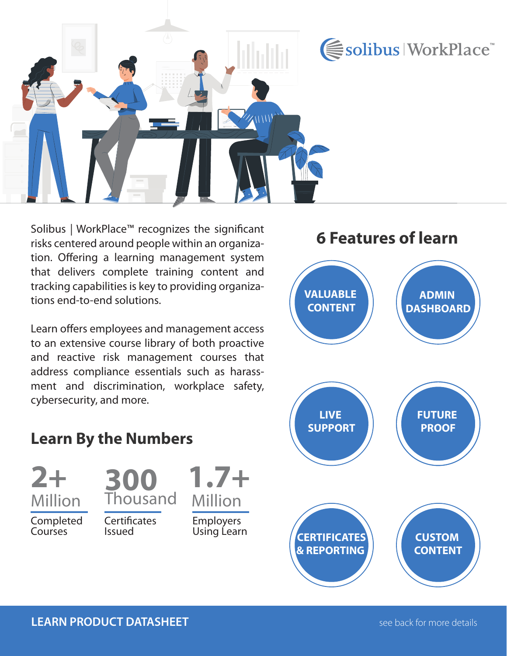

Solibus | WorkPlace™ recognizes the significant risks centered around people within an organization. Offering a learning management system that delivers complete training content and tracking capabilities is key to providing organizations end-to-end solutions.

Learn offers employees and management access to an extensive course library of both proactive and reactive risk management courses that address compliance essentials such as harassment and discrimination, workplace safety, cybersecurity, and more.

## **6 Features of learn**



## **Learn By the Numbers**

**2+** Million

Completed Courses



**Certificates** Issued

Employers Using Learn

**1.7+** 

Million